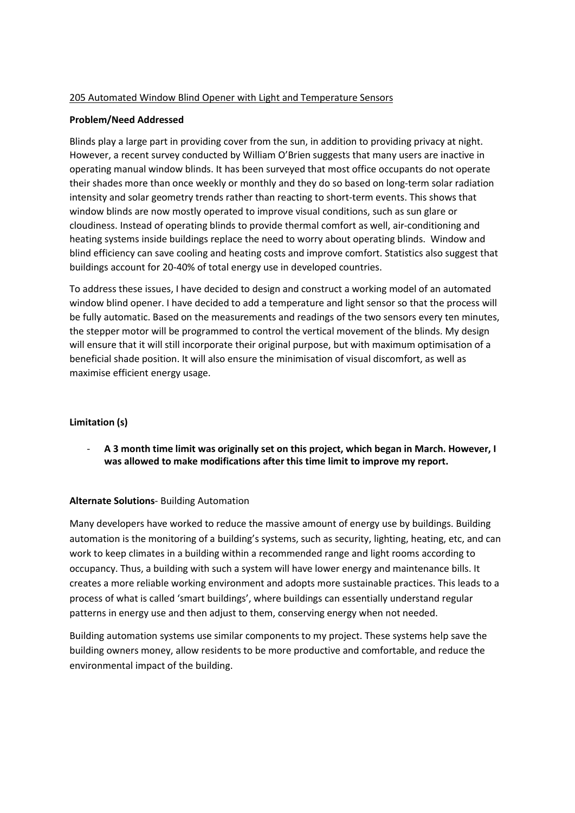#### 205 Automated Window Blind Opener with Light and Temperature Sensors

#### Problem/Need Addressed

Blinds play a large part in providing cover from the sun, in addition to providing privacy at night. However, a recent survey conducted by William O'Brien suggests that many users are inactive in operating manual window blinds. It has been surveyed that most office occupants do not operate their shades more than once weekly or monthly and they do so based on long-term solar radiation intensity and solar geometry trends rather than reacting to short-term events. This shows that window blinds are now mostly operated to improve visual conditions, such as sun glare or cloudiness. Instead of operating blinds to provide thermal comfort as well, air-conditioning and heating systems inside buildings replace the need to worry about operating blinds. Window and blind efficiency can save cooling and heating costs and improve comfort. Statistics also suggest that buildings account for 20-40% of total energy use in developed countries.

To address these issues, I have decided to design and construct a working model of an automated window blind opener. I have decided to add a temperature and light sensor so that the process will be fully automatic. Based on the measurements and readings of the two sensors every ten minutes, the stepper motor will be programmed to control the vertical movement of the blinds. My design will ensure that it will still incorporate their original purpose, but with maximum optimisation of a beneficial shade position. It will also ensure the minimisation of visual discomfort, as well as maximise efficient energy usage.

### Limitation (s)

A 3 month time limit was originally set on this project, which began in March. However, I was allowed to make modifications after this time limit to improve my report.

### Alternate Solutions- Building Automation

Many developers have worked to reduce the massive amount of energy use by buildings. Building automation is the monitoring of a building's systems, such as security, lighting, heating, etc, and can work to keep climates in a building within a recommended range and light rooms according to occupancy. Thus, a building with such a system will have lower energy and maintenance bills. It creates a more reliable working environment and adopts more sustainable practices. This leads to a process of what is called 'smart buildings', where buildings can essentially understand regular patterns in energy use and then adjust to them, conserving energy when not needed.

Building automation systems use similar components to my project. These systems help save the building owners money, allow residents to be more productive and comfortable, and reduce the environmental impact of the building.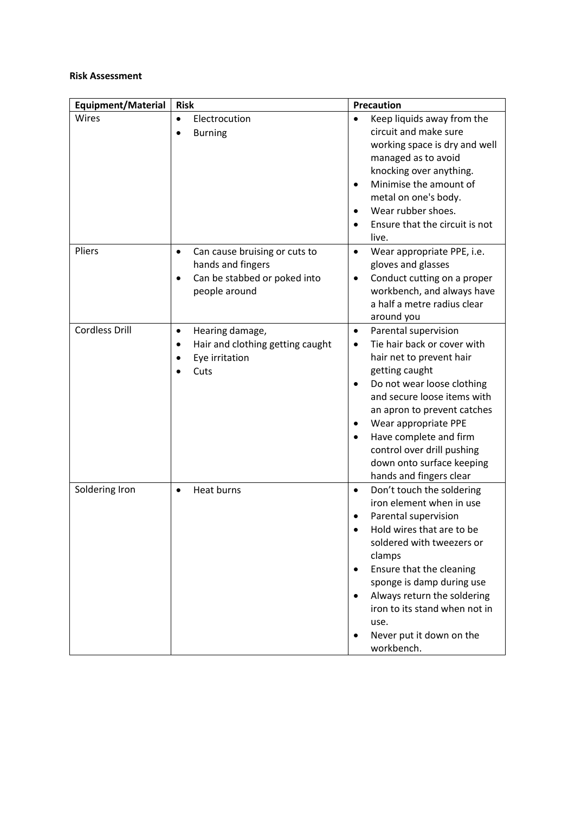#### Risk Assessment

| <b>Equipment/Material</b> | <b>Risk</b>                                                                                                                   | <b>Precaution</b>                                                                                                                                                                                                                                                                                                                                               |
|---------------------------|-------------------------------------------------------------------------------------------------------------------------------|-----------------------------------------------------------------------------------------------------------------------------------------------------------------------------------------------------------------------------------------------------------------------------------------------------------------------------------------------------------------|
| Wires                     | Electrocution<br>$\bullet$<br><b>Burning</b><br>$\bullet$                                                                     | Keep liquids away from the<br>circuit and make sure<br>working space is dry and well<br>managed as to avoid<br>knocking over anything.<br>Minimise the amount of<br>$\bullet$<br>metal on one's body.<br>Wear rubber shoes.<br>Ensure that the circuit is not<br>$\bullet$<br>live.                                                                             |
| Pliers                    | Can cause bruising or cuts to<br>$\bullet$<br>hands and fingers<br>Can be stabbed or poked into<br>$\bullet$<br>people around | Wear appropriate PPE, i.e.<br>$\bullet$<br>gloves and glasses<br>Conduct cutting on a proper<br>$\bullet$<br>workbench, and always have<br>a half a metre radius clear<br>around you                                                                                                                                                                            |
| <b>Cordless Drill</b>     | Hearing damage,<br>$\bullet$<br>Hair and clothing getting caught<br>٠<br>Eye irritation<br>Cuts                               | Parental supervision<br>$\bullet$<br>Tie hair back or cover with<br>$\bullet$<br>hair net to prevent hair<br>getting caught<br>Do not wear loose clothing<br>and secure loose items with<br>an apron to prevent catches<br>Wear appropriate PPE<br>Have complete and firm<br>control over drill pushing<br>down onto surface keeping<br>hands and fingers clear |
| Soldering Iron            | <b>Heat burns</b><br>$\bullet$                                                                                                | Don't touch the soldering<br>$\bullet$<br>iron element when in use<br>Parental supervision<br>Hold wires that are to be<br>soldered with tweezers or<br>clamps<br>Ensure that the cleaning<br>٠<br>sponge is damp during use<br>Always return the soldering<br>$\bullet$<br>iron to its stand when not in<br>use.<br>Never put it down on the<br>workbench.     |